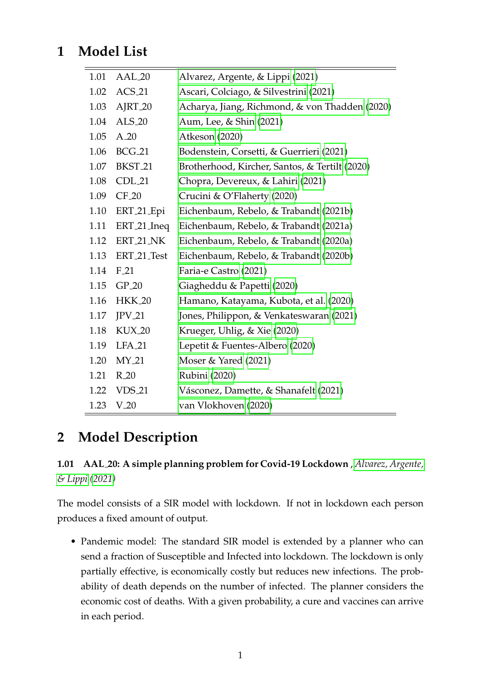# **1 Model List**

| 1.01 | AAL_20              | Alvarez, Argente, & Lippi (2021)               |
|------|---------------------|------------------------------------------------|
| 1.02 | $ACS_21$            | Ascari, Colciago, & Silvestrini (2021)         |
| 1.03 | AJRT_20             | Acharya, Jiang, Richmond, & von Thadden (2020) |
| 1.04 | $ALS_20$            | Aum, Lee, & Shin (2021)                        |
| 1.05 | $A_2$               | Atkeson (2020)                                 |
| 1.06 | <b>BCG_21</b>       | Bodenstein, Corsetti, & Guerrieri (2021)       |
| 1.07 | BKST <sub>-21</sub> | Brotherhood, Kircher, Santos, & Tertilt (2020) |
| 1.08 | CDL <sub>21</sub>   | Chopra, Devereux, & Lahiri (2021)              |
| 1.09 | $CF_20$             | Crucini & O'Flaherty (2020)                    |
| 1.10 | ERT_21_Epi          | Eichenbaum, Rebelo, & Trabandt (2021b)         |
| 1.11 | ERT_21_Ineq         | Eichenbaum, Rebelo, & Trabandt (2021a)         |
| 1.12 | ERT_21_NK           | Eichenbaum, Rebelo, & Trabandt (2020a)         |
| 1.13 | ERT_21_Test         | Eichenbaum, Rebelo, & Trabandt (2020b)         |
| 1.14 | $F_21$              | Faria-e Castro (2021)                          |
| 1.15 | $GP_20$             | Giagheddu & Papetti (2020)                     |
| 1.16 | <b>HKK_20</b>       | Hamano, Katayama, Kubota, et al. (2020)        |
| 1.17 | $JPV_21$            | Jones, Philippon, & Venkateswaran (2021)       |
| 1.18 | KUX_20              | Krueger, Uhlig, & Xie (2020)                   |
| 1.19 | <b>LFA_21</b>       | Lepetit & Fuentes-Albero (2020)                |
| 1.20 | $MY_21$             | Moser & Yared $(2021)$                         |
| 1.21 | $R_2$               | Rubini (2020)                                  |
| 1.22 | <b>VDS_21</b>       | Vásconez, Damette, & Shanafelt (2021)          |
| 1.23 | $V_20$              | van Vlokhoven (2020)                           |

# **2 Model Description**

### **1.01 AAL 20: A simple planning problem for Covid-19 Lockdown** , *[Alvarez, Argente,](#page-11-0) [& Lippi](#page-11-0) [\(2021\)](#page-11-0)*

The model consists of a SIR model with lockdown. If not in lockdown each person produces a fixed amount of output.

• Pandemic model: The standard SIR model is extended by a planner who can send a fraction of Susceptible and Infected into lockdown. The lockdown is only partially effective, is economically costly but reduces new infections. The probability of death depends on the number of infected. The planner considers the economic cost of deaths. With a given probability, a cure and vaccines can arrive in each period.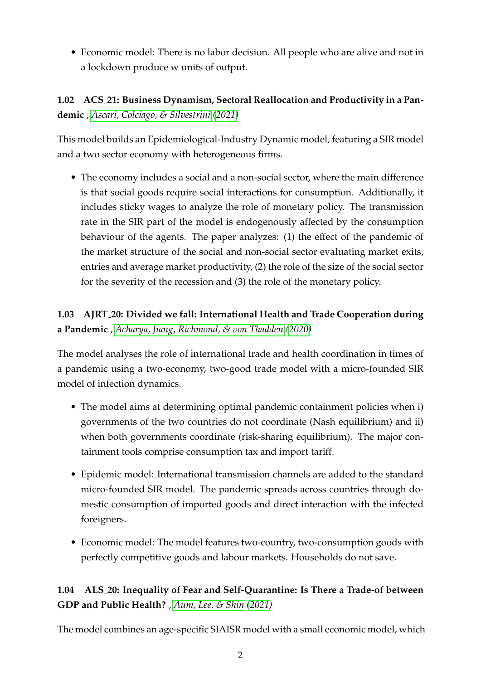• Economic model: There is no labor decision. All people who are alive and not in a lockdown produce w units of output.

**1.02 ACS 21: Business Dynamism, Sectoral Reallocation and Productivity in a Pandemic** , *[Ascari, Colciago, & Silvestrini](#page-11-1) [\(2021\)](#page-11-1)*

This model builds an Epidemiological-Industry Dynamic model, featuring a SIR model and a two sector economy with heterogeneous firms.

• The economy includes a social and a non-social sector, where the main difference is that social goods require social interactions for consumption. Additionally, it includes sticky wages to analyze the role of monetary policy. The transmission rate in the SIR part of the model is endogenously affected by the consumption behaviour of the agents. The paper analyzes: (1) the effect of the pandemic of the market structure of the social and non-social sector evaluating market exits, entries and average market productivity, (2) the role of the size of the social sector for the severity of the recession and (3) the role of the monetary policy.

## **1.03 AJRT 20: Divided we fall: International Health and Trade Cooperation during a Pandemic** , *[Acharya, Jiang, Richmond, & von Thadden](#page-11-2) [\(2020\)](#page-11-2)*

The model analyses the role of international trade and health coordination in times of a pandemic using a two-economy, two-good trade model with a micro-founded SIR model of infection dynamics.

- The model aims at determining optimal pandemic containment policies when i) governments of the two countries do not coordinate (Nash equilibrium) and ii) when both governments coordinate (risk-sharing equilibrium). The major containment tools comprise consumption tax and import tariff.
- Epidemic model: International transmission channels are added to the standard micro-founded SIR model. The pandemic spreads across countries through domestic consumption of imported goods and direct interaction with the infected foreigners.
- Economic model: The model features two-country, two-consumption goods with perfectly competitive goods and labour markets. Households do not save.

### **1.04 ALS 20: Inequality of Fear and Self-Quarantine: Is There a Trade-of between GDP and Public Health?** , *[Aum, Lee, & Shin](#page-12-0) [\(2021\)](#page-12-0)*

The model combines an age-specific SIAISR model with a small economic model, which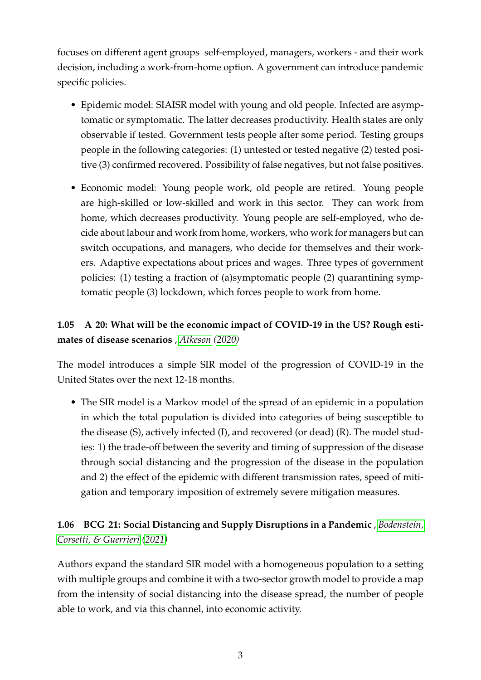focuses on different agent groups self-employed, managers, workers - and their work decision, including a work-from-home option. A government can introduce pandemic specific policies.

- Epidemic model: SIAISR model with young and old people. Infected are asymptomatic or symptomatic. The latter decreases productivity. Health states are only observable if tested. Government tests people after some period. Testing groups people in the following categories: (1) untested or tested negative (2) tested positive (3) confirmed recovered. Possibility of false negatives, but not false positives.
- Economic model: Young people work, old people are retired. Young people are high-skilled or low-skilled and work in this sector. They can work from home, which decreases productivity. Young people are self-employed, who decide about labour and work from home, workers, who work for managers but can switch occupations, and managers, who decide for themselves and their workers. Adaptive expectations about prices and wages. Three types of government policies: (1) testing a fraction of (a)symptomatic people (2) quarantining symptomatic people (3) lockdown, which forces people to work from home.

### **1.05 A 20: What will be the economic impact of COVID-19 in the US? Rough estimates of disease scenarios** , *[Atkeson](#page-12-1) [\(2020\)](#page-12-1)*

The model introduces a simple SIR model of the progression of COVID-19 in the United States over the next 12-18 months.

• The SIR model is a Markov model of the spread of an epidemic in a population in which the total population is divided into categories of being susceptible to the disease (S), actively infected (I), and recovered (or dead) (R). The model studies: 1) the trade-off between the severity and timing of suppression of the disease through social distancing and the progression of the disease in the population and 2) the effect of the epidemic with different transmission rates, speed of mitigation and temporary imposition of extremely severe mitigation measures.

#### **1.06 BCG 21: Social Distancing and Supply Disruptions in a Pandemic** , *[Bodenstein,](#page-12-2) [Corsetti, & Guerrieri](#page-12-2) [\(2021\)](#page-12-2)*

Authors expand the standard SIR model with a homogeneous population to a setting with multiple groups and combine it with a two-sector growth model to provide a map from the intensity of social distancing into the disease spread, the number of people able to work, and via this channel, into economic activity.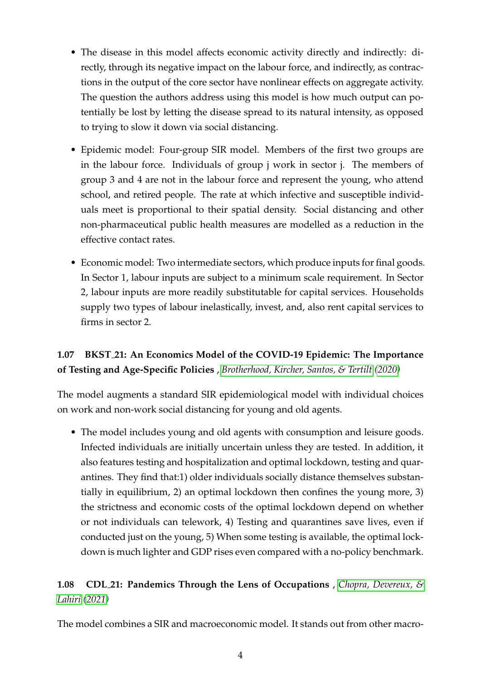- The disease in this model affects economic activity directly and indirectly: directly, through its negative impact on the labour force, and indirectly, as contractions in the output of the core sector have nonlinear effects on aggregate activity. The question the authors address using this model is how much output can potentially be lost by letting the disease spread to its natural intensity, as opposed to trying to slow it down via social distancing.
- Epidemic model: Four-group SIR model. Members of the first two groups are in the labour force. Individuals of group j work in sector j. The members of group 3 and 4 are not in the labour force and represent the young, who attend school, and retired people. The rate at which infective and susceptible individuals meet is proportional to their spatial density. Social distancing and other non-pharmaceutical public health measures are modelled as a reduction in the effective contact rates.
- Economic model: Two intermediate sectors, which produce inputs for final goods. In Sector 1, labour inputs are subject to a minimum scale requirement. In Sector 2, labour inputs are more readily substitutable for capital services. Households supply two types of labour inelastically, invest, and, also rent capital services to firms in sector 2.

### **1.07 BKST 21: An Economics Model of the COVID-19 Epidemic: The Importance of Testing and Age-Specific Policies** , *[Brotherhood, Kircher, Santos, & Tertilt](#page-12-3) [\(2020\)](#page-12-3)*

The model augments a standard SIR epidemiological model with individual choices on work and non-work social distancing for young and old agents.

• The model includes young and old agents with consumption and leisure goods. Infected individuals are initially uncertain unless they are tested. In addition, it also features testing and hospitalization and optimal lockdown, testing and quarantines. They find that:1) older individuals socially distance themselves substantially in equilibrium, 2) an optimal lockdown then confines the young more, 3) the strictness and economic costs of the optimal lockdown depend on whether or not individuals can telework, 4) Testing and quarantines save lives, even if conducted just on the young, 5) When some testing is available, the optimal lockdown is much lighter and GDP rises even compared with a no-policy benchmark.

### **1.08 CDL 21: Pandemics Through the Lens of Occupations** , *[Chopra, Devereux, &](#page-12-4) [Lahiri](#page-12-4) [\(2021\)](#page-12-4)*

The model combines a SIR and macroeconomic model. It stands out from other macro-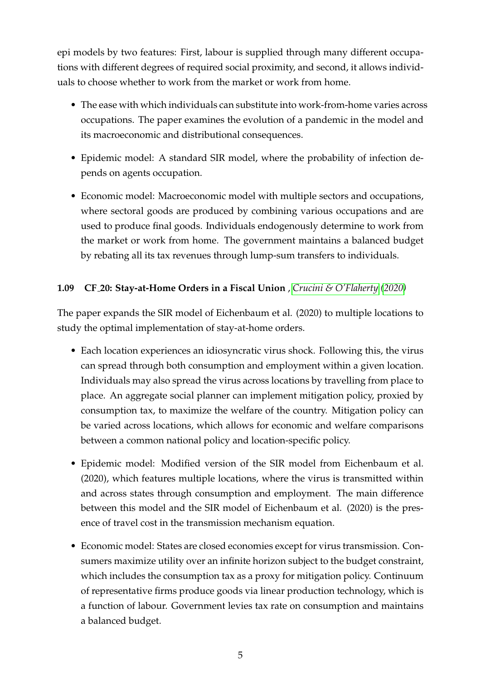epi models by two features: First, labour is supplied through many different occupations with different degrees of required social proximity, and second, it allows individuals to choose whether to work from the market or work from home.

- The ease with which individuals can substitute into work-from-home varies across occupations. The paper examines the evolution of a pandemic in the model and its macroeconomic and distributional consequences.
- Epidemic model: A standard SIR model, where the probability of infection depends on agents occupation.
- Economic model: Macroeconomic model with multiple sectors and occupations, where sectoral goods are produced by combining various occupations and are used to produce final goods. Individuals endogenously determine to work from the market or work from home. The government maintains a balanced budget by rebating all its tax revenues through lump-sum transfers to individuals.

#### **1.09 CF 20: Stay-at-Home Orders in a Fiscal Union** , *[Crucini & O'Flaherty](#page-12-5) [\(2020\)](#page-12-5)*

The paper expands the SIR model of Eichenbaum et al. (2020) to multiple locations to study the optimal implementation of stay-at-home orders.

- Each location experiences an idiosyncratic virus shock. Following this, the virus can spread through both consumption and employment within a given location. Individuals may also spread the virus across locations by travelling from place to place. An aggregate social planner can implement mitigation policy, proxied by consumption tax, to maximize the welfare of the country. Mitigation policy can be varied across locations, which allows for economic and welfare comparisons between a common national policy and location-specific policy.
- Epidemic model: Modified version of the SIR model from Eichenbaum et al. (2020), which features multiple locations, where the virus is transmitted within and across states through consumption and employment. The main difference between this model and the SIR model of Eichenbaum et al. (2020) is the presence of travel cost in the transmission mechanism equation.
- Economic model: States are closed economies except for virus transmission. Consumers maximize utility over an infinite horizon subject to the budget constraint, which includes the consumption tax as a proxy for mitigation policy. Continuum of representative firms produce goods via linear production technology, which is a function of labour. Government levies tax rate on consumption and maintains a balanced budget.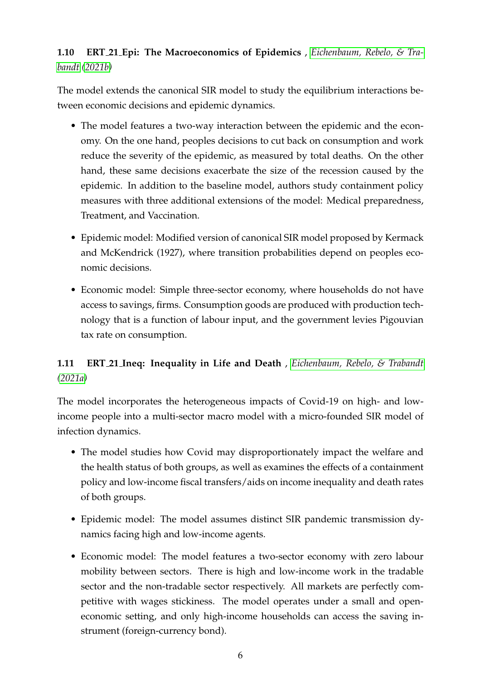#### **1.10 ERT 21 Epi: The Macroeconomics of Epidemics** , *[Eichenbaum, Rebelo, & Tra](#page-12-6)[bandt](#page-12-6) [\(2021b\)](#page-12-6)*

The model extends the canonical SIR model to study the equilibrium interactions between economic decisions and epidemic dynamics.

- The model features a two-way interaction between the epidemic and the economy. On the one hand, peoples decisions to cut back on consumption and work reduce the severity of the epidemic, as measured by total deaths. On the other hand, these same decisions exacerbate the size of the recession caused by the epidemic. In addition to the baseline model, authors study containment policy measures with three additional extensions of the model: Medical preparedness, Treatment, and Vaccination.
- Epidemic model: Modified version of canonical SIR model proposed by Kermack and McKendrick (1927), where transition probabilities depend on peoples economic decisions.
- Economic model: Simple three-sector economy, where households do not have access to savings, firms. Consumption goods are produced with production technology that is a function of labour input, and the government levies Pigouvian tax rate on consumption.

### **1.11 ERT 21 Ineq: Inequality in Life and Death** , *[Eichenbaum, Rebelo, & Trabandt](#page-12-7) [\(2021a\)](#page-12-7)*

The model incorporates the heterogeneous impacts of Covid-19 on high- and lowincome people into a multi-sector macro model with a micro-founded SIR model of infection dynamics.

- The model studies how Covid may disproportionately impact the welfare and the health status of both groups, as well as examines the effects of a containment policy and low-income fiscal transfers/aids on income inequality and death rates of both groups.
- Epidemic model: The model assumes distinct SIR pandemic transmission dynamics facing high and low-income agents.
- Economic model: The model features a two-sector economy with zero labour mobility between sectors. There is high and low-income work in the tradable sector and the non-tradable sector respectively. All markets are perfectly competitive with wages stickiness. The model operates under a small and openeconomic setting, and only high-income households can access the saving instrument (foreign-currency bond).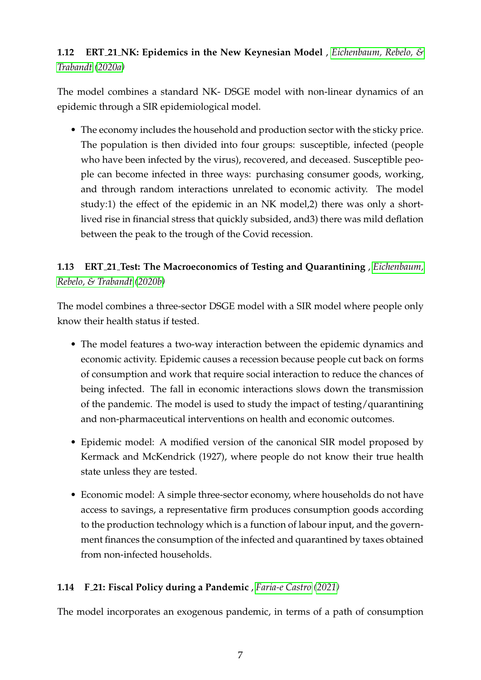### **1.12 ERT 21 NK: Epidemics in the New Keynesian Model** , *[Eichenbaum, Rebelo, &](#page-12-8) [Trabandt](#page-12-8) [\(2020a\)](#page-12-8)*

The model combines a standard NK- DSGE model with non-linear dynamics of an epidemic through a SIR epidemiological model.

• The economy includes the household and production sector with the sticky price. The population is then divided into four groups: susceptible, infected (people who have been infected by the virus), recovered, and deceased. Susceptible people can become infected in three ways: purchasing consumer goods, working, and through random interactions unrelated to economic activity. The model study:1) the effect of the epidemic in an NK model,2) there was only a shortlived rise in financial stress that quickly subsided, and3) there was mild deflation between the peak to the trough of the Covid recession.

## **1.13 ERT 21 Test: The Macroeconomics of Testing and Quarantining** , *[Eichenbaum,](#page-12-9) [Rebelo, & Trabandt](#page-12-9) [\(2020b\)](#page-12-9)*

The model combines a three-sector DSGE model with a SIR model where people only know their health status if tested.

- The model features a two-way interaction between the epidemic dynamics and economic activity. Epidemic causes a recession because people cut back on forms of consumption and work that require social interaction to reduce the chances of being infected. The fall in economic interactions slows down the transmission of the pandemic. The model is used to study the impact of testing/quarantining and non-pharmaceutical interventions on health and economic outcomes.
- Epidemic model: A modified version of the canonical SIR model proposed by Kermack and McKendrick (1927), where people do not know their true health state unless they are tested.
- Economic model: A simple three-sector economy, where households do not have access to savings, a representative firm produces consumption goods according to the production technology which is a function of labour input, and the government finances the consumption of the infected and quarantined by taxes obtained from non-infected households.

#### **1.14 F 21: Fiscal Policy during a Pandemic** , *[Faria-e Castro](#page-12-10) [\(2021\)](#page-12-10)*

The model incorporates an exogenous pandemic, in terms of a path of consumption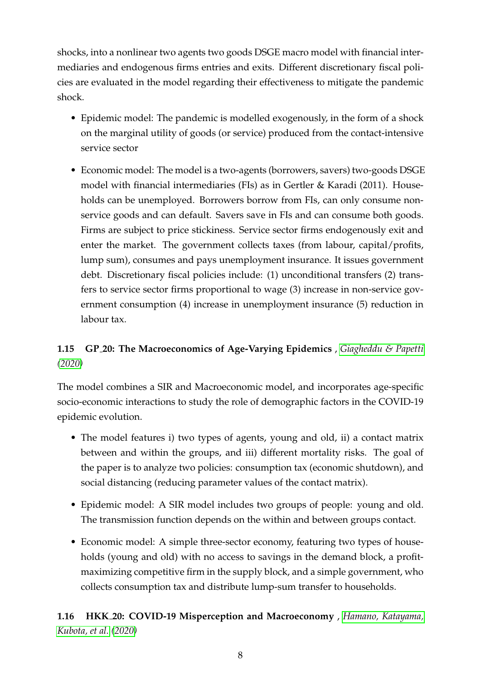shocks, into a nonlinear two agents two goods DSGE macro model with financial intermediaries and endogenous firms entries and exits. Different discretionary fiscal policies are evaluated in the model regarding their effectiveness to mitigate the pandemic shock.

- Epidemic model: The pandemic is modelled exogenously, in the form of a shock on the marginal utility of goods (or service) produced from the contact-intensive service sector
- Economic model: The model is a two-agents (borrowers, savers) two-goods DSGE model with financial intermediaries (FIs) as in Gertler & Karadi (2011). Households can be unemployed. Borrowers borrow from FIs, can only consume nonservice goods and can default. Savers save in FIs and can consume both goods. Firms are subject to price stickiness. Service sector firms endogenously exit and enter the market. The government collects taxes (from labour, capital/profits, lump sum), consumes and pays unemployment insurance. It issues government debt. Discretionary fiscal policies include: (1) unconditional transfers (2) transfers to service sector firms proportional to wage (3) increase in non-service government consumption (4) increase in unemployment insurance (5) reduction in labour tax.

### **1.15 GP 20: The Macroeconomics of Age-Varying Epidemics** , *[Giagheddu & Papetti](#page-12-11) [\(2020\)](#page-12-11)*

The model combines a SIR and Macroeconomic model, and incorporates age-specific socio-economic interactions to study the role of demographic factors in the COVID-19 epidemic evolution.

- The model features i) two types of agents, young and old, ii) a contact matrix between and within the groups, and iii) different mortality risks. The goal of the paper is to analyze two policies: consumption tax (economic shutdown), and social distancing (reducing parameter values of the contact matrix).
- Epidemic model: A SIR model includes two groups of people: young and old. The transmission function depends on the within and between groups contact.
- Economic model: A simple three-sector economy, featuring two types of households (young and old) with no access to savings in the demand block, a profitmaximizing competitive firm in the supply block, and a simple government, who collects consumption tax and distribute lump-sum transfer to households.

#### **1.16 HKK 20: COVID-19 Misperception and Macroeconomy** , *[Hamano, Katayama,](#page-12-12) [Kubota, et al.](#page-12-12) [\(2020\)](#page-12-12)*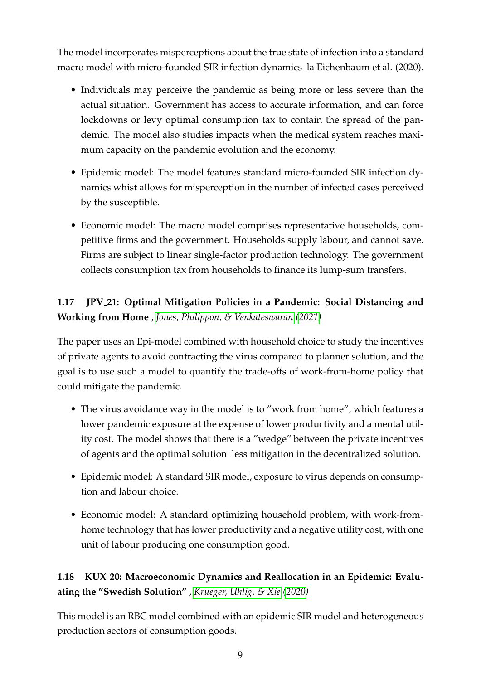The model incorporates misperceptions about the true state of infection into a standard macro model with micro-founded SIR infection dynamics la Eichenbaum et al. (2020).

- Individuals may perceive the pandemic as being more or less severe than the actual situation. Government has access to accurate information, and can force lockdowns or levy optimal consumption tax to contain the spread of the pandemic. The model also studies impacts when the medical system reaches maximum capacity on the pandemic evolution and the economy.
- Epidemic model: The model features standard micro-founded SIR infection dynamics whist allows for misperception in the number of infected cases perceived by the susceptible.
- Economic model: The macro model comprises representative households, competitive firms and the government. Households supply labour, and cannot save. Firms are subject to linear single-factor production technology. The government collects consumption tax from households to finance its lump-sum transfers.

# **1.17 JPV 21: Optimal Mitigation Policies in a Pandemic: Social Distancing and Working from Home** , *[Jones, Philippon, & Venkateswaran](#page-12-13) [\(2021\)](#page-12-13)*

The paper uses an Epi-model combined with household choice to study the incentives of private agents to avoid contracting the virus compared to planner solution, and the goal is to use such a model to quantify the trade-offs of work-from-home policy that could mitigate the pandemic.

- The virus avoidance way in the model is to "work from home", which features a lower pandemic exposure at the expense of lower productivity and a mental utility cost. The model shows that there is a "wedge" between the private incentives of agents and the optimal solution less mitigation in the decentralized solution.
- Epidemic model: A standard SIR model, exposure to virus depends on consumption and labour choice.
- Economic model: A standard optimizing household problem, with work-fromhome technology that has lower productivity and a negative utility cost, with one unit of labour producing one consumption good.

### **1.18 KUX 20: Macroeconomic Dynamics and Reallocation in an Epidemic: Evaluating the "Swedish Solution"** , *[Krueger, Uhlig, & Xie](#page-12-14) [\(2020\)](#page-12-14)*

This model is an RBC model combined with an epidemic SIR model and heterogeneous production sectors of consumption goods.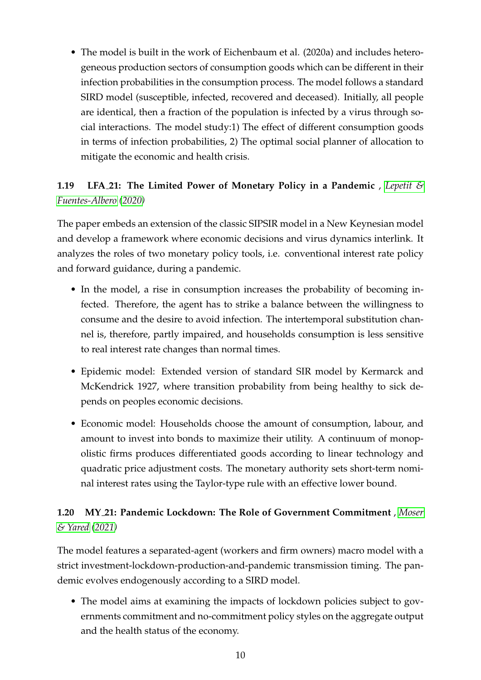• The model is built in the work of Eichenbaum et al. (2020a) and includes heterogeneous production sectors of consumption goods which can be different in their infection probabilities in the consumption process. The model follows a standard SIRD model (susceptible, infected, recovered and deceased). Initially, all people are identical, then a fraction of the population is infected by a virus through social interactions. The model study:1) The effect of different consumption goods in terms of infection probabilities, 2) The optimal social planner of allocation to mitigate the economic and health crisis.

## **1.19 LFA 21: The Limited Power of Monetary Policy in a Pandemic** , *[Lepetit &](#page-13-0) [Fuentes-Albero](#page-13-0) [\(2020\)](#page-13-0)*

The paper embeds an extension of the classic SIPSIR model in a New Keynesian model and develop a framework where economic decisions and virus dynamics interlink. It analyzes the roles of two monetary policy tools, i.e. conventional interest rate policy and forward guidance, during a pandemic.

- In the model, a rise in consumption increases the probability of becoming infected. Therefore, the agent has to strike a balance between the willingness to consume and the desire to avoid infection. The intertemporal substitution channel is, therefore, partly impaired, and households consumption is less sensitive to real interest rate changes than normal times.
- Epidemic model: Extended version of standard SIR model by Kermarck and McKendrick 1927, where transition probability from being healthy to sick depends on peoples economic decisions.
- Economic model: Households choose the amount of consumption, labour, and amount to invest into bonds to maximize their utility. A continuum of monopolistic firms produces differentiated goods according to linear technology and quadratic price adjustment costs. The monetary authority sets short-term nominal interest rates using the Taylor-type rule with an effective lower bound.

### **1.20 MY 21: Pandemic Lockdown: The Role of Government Commitment** , *[Moser](#page-13-1) [& Yared](#page-13-1) [\(2021\)](#page-13-1)*

The model features a separated-agent (workers and firm owners) macro model with a strict investment-lockdown-production-and-pandemic transmission timing. The pandemic evolves endogenously according to a SIRD model.

• The model aims at examining the impacts of lockdown policies subject to governments commitment and no-commitment policy styles on the aggregate output and the health status of the economy.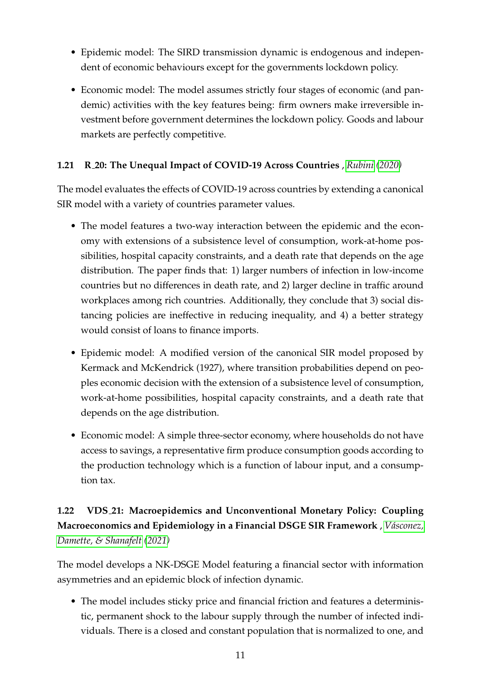- Epidemic model: The SIRD transmission dynamic is endogenous and independent of economic behaviours except for the governments lockdown policy.
- Economic model: The model assumes strictly four stages of economic (and pandemic) activities with the key features being: firm owners make irreversible investment before government determines the lockdown policy. Goods and labour markets are perfectly competitive.

#### **1.21 R 20: The Unequal Impact of COVID-19 Across Countries** , *[Rubini](#page-13-2) [\(2020\)](#page-13-2)*

The model evaluates the effects of COVID-19 across countries by extending a canonical SIR model with a variety of countries parameter values.

- The model features a two-way interaction between the epidemic and the economy with extensions of a subsistence level of consumption, work-at-home possibilities, hospital capacity constraints, and a death rate that depends on the age distribution. The paper finds that: 1) larger numbers of infection in low-income countries but no differences in death rate, and 2) larger decline in traffic around workplaces among rich countries. Additionally, they conclude that 3) social distancing policies are ineffective in reducing inequality, and 4) a better strategy would consist of loans to finance imports.
- Epidemic model: A modified version of the canonical SIR model proposed by Kermack and McKendrick (1927), where transition probabilities depend on peoples economic decision with the extension of a subsistence level of consumption, work-at-home possibilities, hospital capacity constraints, and a death rate that depends on the age distribution.
- Economic model: A simple three-sector economy, where households do not have access to savings, a representative firm produce consumption goods according to the production technology which is a function of labour input, and a consumption tax.

## **1.22 VDS 21: Macroepidemics and Unconventional Monetary Policy: Coupling Macroeconomics and Epidemiology in a Financial DSGE SIR Framework** , *[V´asconez,](#page-13-3) [Damette, & Shanafelt](#page-13-3) [\(2021\)](#page-13-3)*

The model develops a NK-DSGE Model featuring a financial sector with information asymmetries and an epidemic block of infection dynamic.

• The model includes sticky price and financial friction and features a deterministic, permanent shock to the labour supply through the number of infected individuals. There is a closed and constant population that is normalized to one, and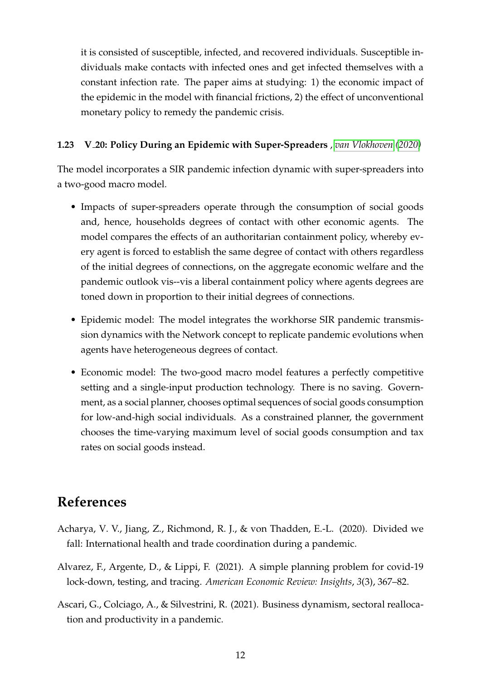it is consisted of susceptible, infected, and recovered individuals. Susceptible individuals make contacts with infected ones and get infected themselves with a constant infection rate. The paper aims at studying: 1) the economic impact of the epidemic in the model with financial frictions, 2) the effect of unconventional monetary policy to remedy the pandemic crisis.

#### **1.23 V 20: Policy During an Epidemic with Super-Spreaders** , *[van Vlokhoven](#page-13-4) [\(2020\)](#page-13-4)*

The model incorporates a SIR pandemic infection dynamic with super-spreaders into a two-good macro model.

- Impacts of super-spreaders operate through the consumption of social goods and, hence, households degrees of contact with other economic agents. The model compares the effects of an authoritarian containment policy, whereby every agent is forced to establish the same degree of contact with others regardless of the initial degrees of connections, on the aggregate economic welfare and the pandemic outlook vis--vis a liberal containment policy where agents degrees are toned down in proportion to their initial degrees of connections.
- Epidemic model: The model integrates the workhorse SIR pandemic transmission dynamics with the Network concept to replicate pandemic evolutions when agents have heterogeneous degrees of contact.
- Economic model: The two-good macro model features a perfectly competitive setting and a single-input production technology. There is no saving. Government, as a social planner, chooses optimal sequences of social goods consumption for low-and-high social individuals. As a constrained planner, the government chooses the time-varying maximum level of social goods consumption and tax rates on social goods instead.

# **References**

- <span id="page-11-2"></span>Acharya, V. V., Jiang, Z., Richmond, R. J., & von Thadden, E.-L. (2020). Divided we fall: International health and trade coordination during a pandemic.
- <span id="page-11-0"></span>Alvarez, F., Argente, D., & Lippi, F. (2021). A simple planning problem for covid-19 lock-down, testing, and tracing. *American Economic Review: Insights*, *3*(3), 367–82.
- <span id="page-11-1"></span>Ascari, G., Colciago, A., & Silvestrini, R. (2021). Business dynamism, sectoral reallocation and productivity in a pandemic.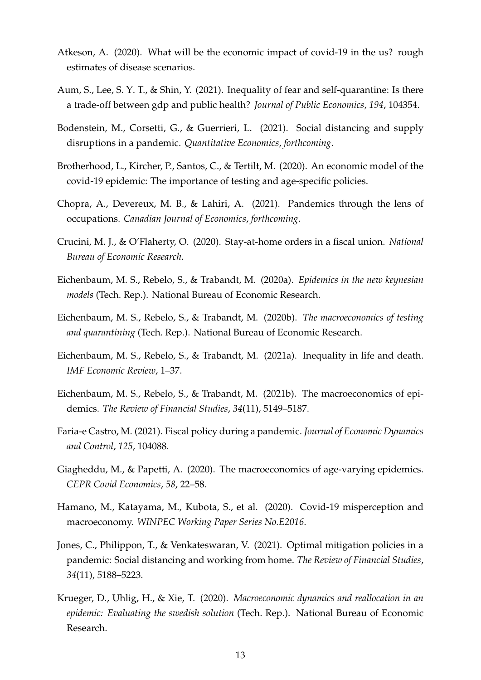- <span id="page-12-1"></span>Atkeson, A. (2020). What will be the economic impact of covid-19 in the us? rough estimates of disease scenarios.
- <span id="page-12-0"></span>Aum, S., Lee, S. Y. T., & Shin, Y. (2021). Inequality of fear and self-quarantine: Is there a trade-off between gdp and public health? *Journal of Public Economics*, *194*, 104354.
- <span id="page-12-2"></span>Bodenstein, M., Corsetti, G., & Guerrieri, L. (2021). Social distancing and supply disruptions in a pandemic. *Quantitative Economics*, *forthcoming*.
- <span id="page-12-3"></span>Brotherhood, L., Kircher, P., Santos, C., & Tertilt, M. (2020). An economic model of the covid-19 epidemic: The importance of testing and age-specific policies.
- <span id="page-12-4"></span>Chopra, A., Devereux, M. B., & Lahiri, A. (2021). Pandemics through the lens of occupations. *Canadian Journal of Economics*, *forthcoming*.
- <span id="page-12-5"></span>Crucini, M. J., & O'Flaherty, O. (2020). Stay-at-home orders in a fiscal union. *National Bureau of Economic Research*.
- <span id="page-12-8"></span>Eichenbaum, M. S., Rebelo, S., & Trabandt, M. (2020a). *Epidemics in the new keynesian models* (Tech. Rep.). National Bureau of Economic Research.
- <span id="page-12-9"></span>Eichenbaum, M. S., Rebelo, S., & Trabandt, M. (2020b). *The macroeconomics of testing and quarantining* (Tech. Rep.). National Bureau of Economic Research.
- <span id="page-12-7"></span>Eichenbaum, M. S., Rebelo, S., & Trabandt, M. (2021a). Inequality in life and death. *IMF Economic Review*, 1–37.
- <span id="page-12-6"></span>Eichenbaum, M. S., Rebelo, S., & Trabandt, M. (2021b). The macroeconomics of epidemics. *The Review of Financial Studies*, *34*(11), 5149–5187.
- <span id="page-12-10"></span>Faria-e Castro, M. (2021). Fiscal policy during a pandemic. *Journal of Economic Dynamics and Control*, *125*, 104088.
- <span id="page-12-11"></span>Giagheddu, M., & Papetti, A. (2020). The macroeconomics of age-varying epidemics. *CEPR Covid Economics*, *58*, 22–58.
- <span id="page-12-12"></span>Hamano, M., Katayama, M., Kubota, S., et al. (2020). Covid-19 misperception and macroeconomy. *WINPEC Working Paper Series No.E2016*.
- <span id="page-12-13"></span>Jones, C., Philippon, T., & Venkateswaran, V. (2021). Optimal mitigation policies in a pandemic: Social distancing and working from home. *The Review of Financial Studies*, *34*(11), 5188–5223.
- <span id="page-12-14"></span>Krueger, D., Uhlig, H., & Xie, T. (2020). *Macroeconomic dynamics and reallocation in an epidemic: Evaluating the swedish solution* (Tech. Rep.). National Bureau of Economic Research.